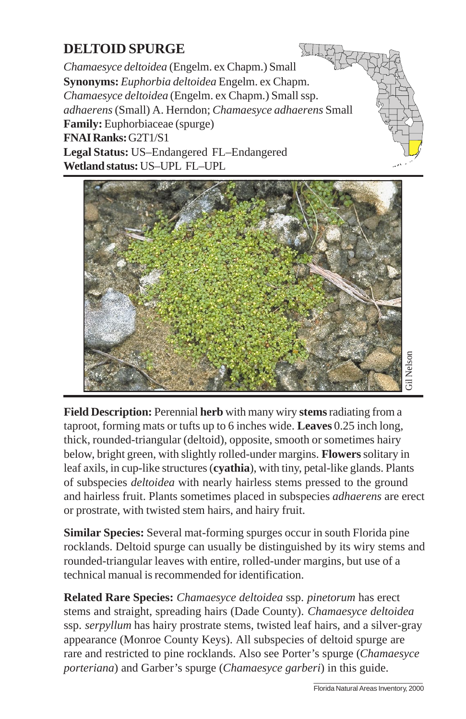## **DELTOID SPURGE**

*Chamaesyce deltoidea* (Engelm. ex Chapm.) Small **Synonyms:** *Euphorbia deltoidea* Engelm. ex Chapm. *Chamaesyce deltoidea* (Engelm. ex Chapm.) Small ssp. *adhaerens* (Small) A. Herndon; *Chamaesyce adhaerens* Small **Family:** Euphorbiaceae (spurge) **FNAI Ranks:** G2T1/S1 **Legal Status:** US–Endangered FL–Endangered **Wetland status:** US–UPL FL–UPL

 $\sqrt{2}$ 



**Field Description:** Perennial **herb** with many wiry **stems** radiating from a taproot, forming mats or tufts up to 6 inches wide. **Leaves** 0.25 inch long, thick, rounded-triangular (deltoid), opposite, smooth or sometimes hairy below, bright green, with slightly rolled-under margins. **Flowers** solitary in leaf axils, in cup-like structures (**cyathia**), with tiny, petal-like glands. Plants of subspecies *deltoidea* with nearly hairless stems p[ressed to the ground](http://www.fnai.org) and hairless fruit. Plants sometimes placed in subspecies *adhaerens* are erect or prostrate, with twisted stem hairs, and hairy fruit.

**Similar Species:** Several mat-forming spurges occur in south Florida pine rocklands. Deltoid spurge can usually be distinguished by its wiry stems and rounded-triangular leaves with entire, rolled-under margins, but use of a technical manual is recommended for identification.

**Related Rare Species:** *Chamaesyce deltoidea* ssp. *pinetorum* has erect stems and straight, spreading hairs (Dade County). *Chamaesyce deltoidea* ssp. *serpyllum* has hairy prostrate stems, twisted leaf hairs, and a silver-gray appearance (Monroe County Keys). All subspecies of deltoid spurge are rare and restricted to pine rocklands. Also see Porter's spurge (*Chamaesyce porteriana*) and Garber's spurge (*Chamaesyce garberi*) in this guide.

\_\_\_\_\_\_\_\_\_\_\_\_\_\_\_\_\_\_\_\_\_\_\_\_\_\_\_\_\_\_\_ Florida Natural Areas Inventory, 2000